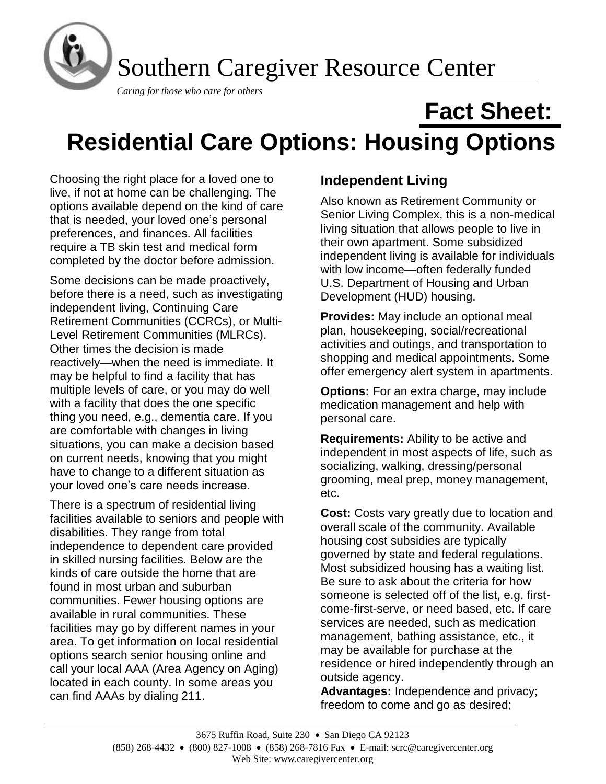

# **Residential Care Options: Housing Options**

Choosing the right place for a loved one to live, if not at home can be challenging. The options available depend on the kind of care that is needed, your loved one's personal preferences, and finances. All facilities require a TB skin test and medical form completed by the doctor before admission.

Some decisions can be made proactively, before there is a need, such as investigating independent living, Continuing Care Retirement Communities (CCRCs), or Multi-Level Retirement Communities (MLRCs). Other times the decision is made reactively—when the need is immediate. It may be helpful to find a facility that has multiple levels of care, or you may do well with a facility that does the one specific thing you need, e.g., dementia care. If you are comfortable with changes in living situations, you can make a decision based on current needs, knowing that you might have to change to a different situation as your loved one's care needs increase.

There is a spectrum of residential living facilities available to seniors and people with disabilities. They range from total independence to dependent care provided in skilled nursing facilities. Below are the kinds of care outside the home that are found in most urban and suburban communities. Fewer housing options are available in rural communities. These facilities may go by different names in your area. To get information on local residential options search senior housing online and call your local AAA (Area Agency on Aging) located in each county. In some areas you can find AAAs by dialing 211.

## **Independent Living**

Also known as Retirement Community or Senior Living Complex, this is a non-medical living situation that allows people to live in their own apartment. Some subsidized independent living is available for individuals with low income—often federally funded U.S. Department of Housing and Urban Development (HUD) housing.

**Fact Sheet:**

**Provides:** May include an optional meal plan, housekeeping, social/recreational activities and outings, and transportation to shopping and medical appointments. Some offer emergency alert system in apartments.

**Options:** For an extra charge, may include medication management and help with personal care.

**Requirements:** Ability to be active and independent in most aspects of life, such as socializing, walking, dressing/personal grooming, meal prep, money management, etc.

**Cost:** Costs vary greatly due to location and overall scale of the community. Available housing cost subsidies are typically governed by state and federal regulations. Most subsidized housing has a waiting list. Be sure to ask about the criteria for how someone is selected off of the list, e.g. firstcome-first-serve, or need based, etc. If care services are needed, such as medication management, bathing assistance, etc., it may be available for purchase at the residence or hired independently through an outside agency.

**Advantages:** Independence and privacy; freedom to come and go as desired;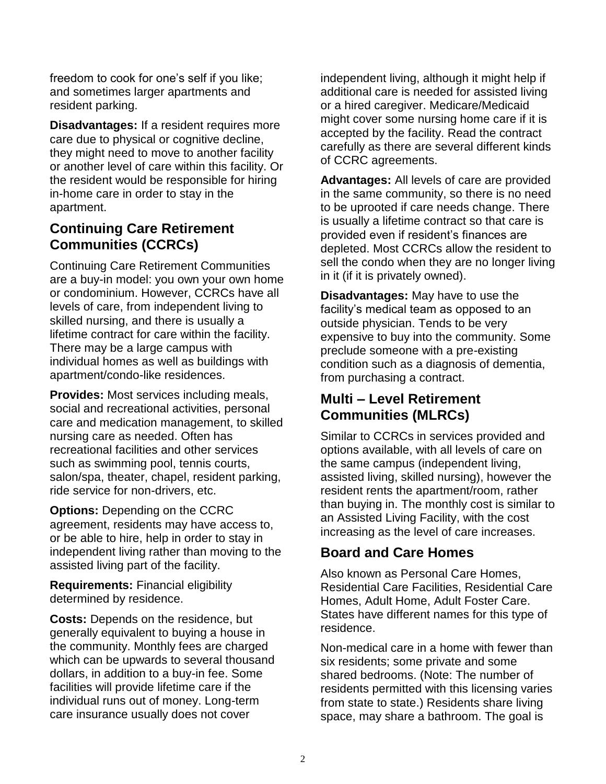freedom to cook for one's self if you like; and sometimes larger apartments and resident parking.

**Disadvantages:** If a resident requires more care due to physical or cognitive decline, they might need to move to another facility or another level of care within this facility. Or the resident would be responsible for hiring in-home care in order to stay in the apartment.

# **Continuing Care Retirement Communities (CCRCs)**

Continuing Care Retirement Communities are a buy-in model: you own your own home or condominium. However, CCRCs have all levels of care, from independent living to skilled nursing, and there is usually a lifetime contract for care within the facility. There may be a large campus with individual homes as well as buildings with apartment/condo-like residences.

**Provides:** Most services including meals, social and recreational activities, personal care and medication management, to skilled nursing care as needed. Often has recreational facilities and other services such as swimming pool, tennis courts, salon/spa, theater, chapel, resident parking, ride service for non-drivers, etc.

**Options:** Depending on the CCRC agreement, residents may have access to, or be able to hire, help in order to stay in independent living rather than moving to the assisted living part of the facility.

**Requirements:** Financial eligibility determined by residence.

**Costs:** Depends on the residence, but generally equivalent to buying a house in the community. Monthly fees are charged which can be upwards to several thousand dollars, in addition to a buy-in fee. Some facilities will provide lifetime care if the individual runs out of money. Long-term care insurance usually does not cover

independent living, although it might help if additional care is needed for assisted living or a hired caregiver. Medicare/Medicaid might cover some nursing home care if it is accepted by the facility. Read the contract carefully as there are several different kinds of CCRC agreements.

**Advantages:** All levels of care are provided in the same community, so there is no need to be uprooted if care needs change. There is usually a lifetime contract so that care is provided even if resident's finances are depleted. Most CCRCs allow the resident to sell the condo when they are no longer living in it (if it is privately owned).

**Disadvantages:** May have to use the facility's medical team as opposed to an outside physician. Tends to be very expensive to buy into the community. Some preclude someone with a pre-existing condition such as a diagnosis of dementia, from purchasing a contract.

# **Multi – Level Retirement Communities (MLRCs)**

Similar to CCRCs in services provided and options available, with all levels of care on the same campus (independent living, assisted living, skilled nursing), however the resident rents the apartment/room, rather than buying in. The monthly cost is similar to an Assisted Living Facility, with the cost increasing as the level of care increases.

# **Board and Care Homes**

Also known as Personal Care Homes, Residential Care Facilities, Residential Care Homes, Adult Home, Adult Foster Care. States have different names for this type of residence.

Non-medical care in a home with fewer than six residents; some private and some shared bedrooms. (Note: The number of residents permitted with this licensing varies from state to state.) Residents share living space, may share a bathroom. The goal is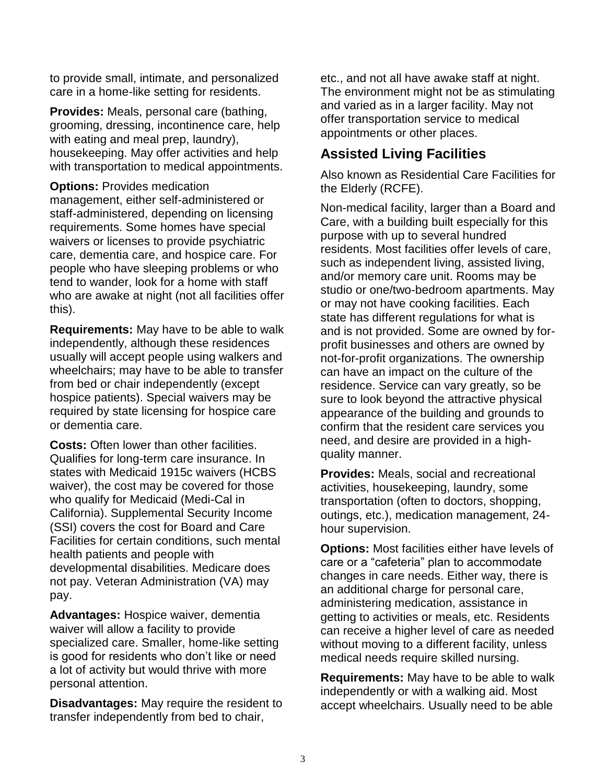to provide small, intimate, and personalized care in a home-like setting for residents.

**Provides:** Meals, personal care (bathing, grooming, dressing, incontinence care, help with eating and meal prep, laundry), housekeeping. May offer activities and help with transportation to medical appointments.

**Options:** Provides medication

management, either self-administered or staff-administered, depending on licensing requirements. Some homes have special waivers or licenses to provide psychiatric care, dementia care, and hospice care. For people who have sleeping problems or who tend to wander, look for a home with staff who are awake at night (not all facilities offer this).

**Requirements:** May have to be able to walk independently, although these residences usually will accept people using walkers and wheelchairs; may have to be able to transfer from bed or chair independently (except hospice patients). Special waivers may be required by state licensing for hospice care or dementia care.

**Costs:** Often lower than other facilities. Qualifies for long-term care insurance. In states with Medicaid 1915c waivers (HCBS waiver), the cost may be covered for those who qualify for Medicaid (Medi-Cal in California). Supplemental Security Income (SSI) covers the cost for Board and Care Facilities for certain conditions, such mental health patients and people with developmental disabilities. Medicare does not pay. Veteran Administration (VA) may pay.

**Advantages:** Hospice waiver, dementia waiver will allow a facility to provide specialized care. Smaller, home-like setting is good for residents who don't like or need a lot of activity but would thrive with more personal attention.

**Disadvantages:** May require the resident to transfer independently from bed to chair,

etc., and not all have awake staff at night. The environment might not be as stimulating and varied as in a larger facility. May not offer transportation service to medical appointments or other places.

## **Assisted Living Facilities**

Also known as Residential Care Facilities for the Elderly (RCFE).

Non-medical facility, larger than a Board and Care, with a building built especially for this purpose with up to several hundred residents. Most facilities offer levels of care, such as independent living, assisted living, and/or memory care unit. Rooms may be studio or one/two-bedroom apartments. May or may not have cooking facilities. Each state has different regulations for what is and is not provided. Some are owned by forprofit businesses and others are owned by not-for-profit organizations. The ownership can have an impact on the culture of the residence. Service can vary greatly, so be sure to look beyond the attractive physical appearance of the building and grounds to confirm that the resident care services you need, and desire are provided in a highquality manner.

**Provides:** Meals, social and recreational activities, housekeeping, laundry, some transportation (often to doctors, shopping, outings, etc.), medication management, 24 hour supervision.

**Options:** Most facilities either have levels of care or a "cafeteria" plan to accommodate changes in care needs. Either way, there is an additional charge for personal care, administering medication, assistance in getting to activities or meals, etc. Residents can receive a higher level of care as needed without moving to a different facility, unless medical needs require skilled nursing.

**Requirements:** May have to be able to walk independently or with a walking aid. Most accept wheelchairs. Usually need to be able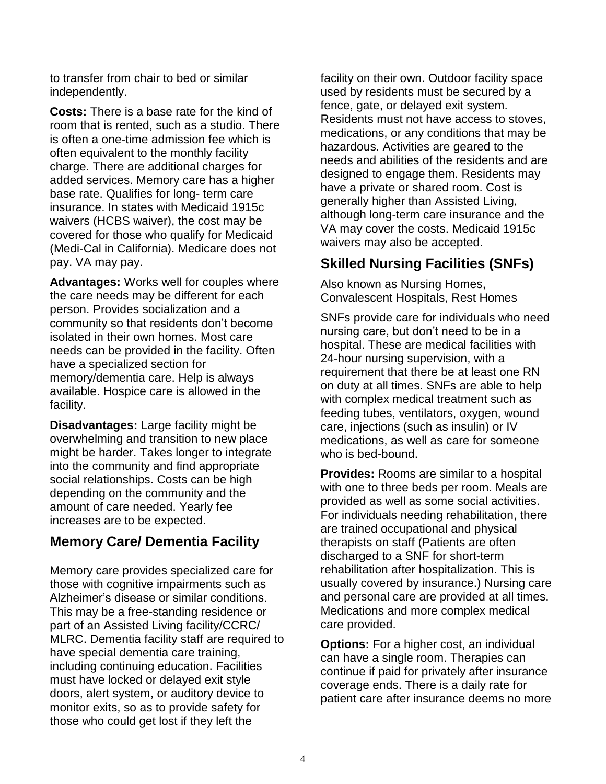to transfer from chair to bed or similar independently.

**Costs:** There is a base rate for the kind of room that is rented, such as a studio. There is often a one-time admission fee which is often equivalent to the monthly facility charge. There are additional charges for added services. Memory care has a higher base rate. Qualifies for long- term care insurance. In states with Medicaid 1915c waivers (HCBS waiver), the cost may be covered for those who qualify for Medicaid (Medi-Cal in California). Medicare does not pay. VA may pay.

**Advantages:** Works well for couples where the care needs may be different for each person. Provides socialization and a community so that residents don't become isolated in their own homes. Most care needs can be provided in the facility. Often have a specialized section for memory/dementia care. Help is always available. Hospice care is allowed in the facility.

**Disadvantages:** Large facility might be overwhelming and transition to new place might be harder. Takes longer to integrate into the community and find appropriate social relationships. Costs can be high depending on the community and the amount of care needed. Yearly fee increases are to be expected.

### **Memory Care/ Dementia Facility**

Memory care provides specialized care for those with cognitive impairments such as Alzheimer's disease or similar conditions. This may be a free-standing residence or part of an Assisted Living facility/CCRC/ MLRC. Dementia facility staff are required to have special dementia care training, including continuing education. Facilities must have locked or delayed exit style doors, alert system, or auditory device to monitor exits, so as to provide safety for those who could get lost if they left the

facility on their own. Outdoor facility space used by residents must be secured by a fence, gate, or delayed exit system. Residents must not have access to stoves, medications, or any conditions that may be hazardous. Activities are geared to the needs and abilities of the residents and are designed to engage them. Residents may have a private or shared room. Cost is generally higher than Assisted Living, although long-term care insurance and the VA may cover the costs. Medicaid 1915c waivers may also be accepted.

### **Skilled Nursing Facilities (SNFs)**

Also known as Nursing Homes, Convalescent Hospitals, Rest Homes

SNFs provide care for individuals who need nursing care, but don't need to be in a hospital. These are medical facilities with 24-hour nursing supervision, with a requirement that there be at least one RN on duty at all times. SNFs are able to help with complex medical treatment such as feeding tubes, ventilators, oxygen, wound care, injections (such as insulin) or IV medications, as well as care for someone who is bed-bound.

**Provides:** Rooms are similar to a hospital with one to three beds per room. Meals are provided as well as some social activities. For individuals needing rehabilitation, there are trained occupational and physical therapists on staff (Patients are often discharged to a SNF for short-term rehabilitation after hospitalization. This is usually covered by insurance.) Nursing care and personal care are provided at all times. Medications and more complex medical care provided.

**Options:** For a higher cost, an individual can have a single room. Therapies can continue if paid for privately after insurance coverage ends. There is a daily rate for patient care after insurance deems no more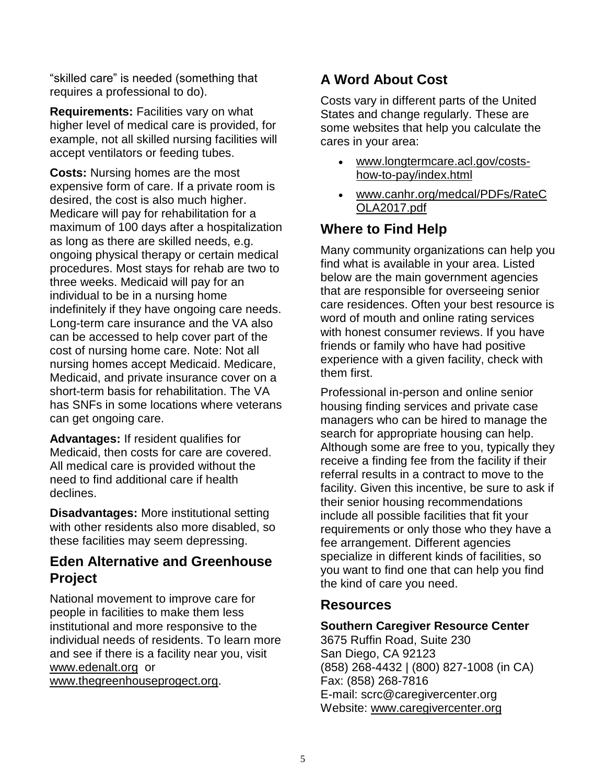"skilled care" is needed (something that requires a professional to do).

**Requirements:** Facilities vary on what higher level of medical care is provided, for example, not all skilled nursing facilities will accept ventilators or feeding tubes.

**Costs:** Nursing homes are the most expensive form of care. If a private room is desired, the cost is also much higher. Medicare will pay for rehabilitation for a maximum of 100 days after a hospitalization as long as there are skilled needs, e.g. ongoing physical therapy or certain medical procedures. Most stays for rehab are two to three weeks. Medicaid will pay for an individual to be in a nursing home indefinitely if they have ongoing care needs. Long-term care insurance and the VA also can be accessed to help cover part of the cost of nursing home care. Note: Not all nursing homes accept Medicaid. Medicare, Medicaid, and private insurance cover on a short-term basis for rehabilitation. The VA has SNFs in some locations where veterans can get ongoing care.

**Advantages:** If resident qualifies for Medicaid, then costs for care are covered. All medical care is provided without the need to find additional care if health declines.

**Disadvantages:** More institutional setting with other residents also more disabled, so these facilities may seem depressing.

### **Eden Alternative and Greenhouse Project**

National movement to improve care for people in facilities to make them less institutional and more responsive to the individual needs of residents. To learn more and see if there is a facility near you, visit [www.edenalt.org](http://www.edenalt.org/) or

[www.thegreenhouseprogect.org.](http://www.thegreenhouseprogect.org/)

# **A Word About Cost**

Costs vary in different parts of the United States and change regularly. These are some websites that help you calculate the cares in your area:

- [www.longtermcare.acl.gov/costs](http://www.longtermcare.acl.gov/costs-how-to-pay/index.html)[how-to-pay/index.html](http://www.longtermcare.acl.gov/costs-how-to-pay/index.html)
- [www.canhr.org/medcal/PDFs/RateC](http://www.canhr.org/medcal/PDFs/RateCOLA2017.pdf) [OLA2017.pdf](http://www.canhr.org/medcal/PDFs/RateCOLA2017.pdf)

# **Where to Find Help**

Many community organizations can help you find what is available in your area. Listed below are the main government agencies that are responsible for overseeing senior care residences. Often your best resource is word of mouth and online rating services with honest consumer reviews. If you have friends or family who have had positive experience with a given facility, check with them first.

Professional in-person and online senior housing finding services and private case managers who can be hired to manage the search for appropriate housing can help. Although some are free to you, typically they receive a finding fee from the facility if their referral results in a contract to move to the facility. Given this incentive, be sure to ask if their senior housing recommendations include all possible facilities that fit your requirements or only those who they have a fee arrangement. Different agencies specialize in different kinds of facilities, so you want to find one that can help you find the kind of care you need.

#### **Resources**

#### **Southern Caregiver Resource Center**

3675 Ruffin Road, Suite 230 San Diego, CA 92123 (858) 268-4432 | (800) 827-1008 (in CA) Fax: (858) 268-7816 E-mail: scrc@caregivercenter.org Website: [www.caregivercenter.org](http://www.caregivercenter.org/)